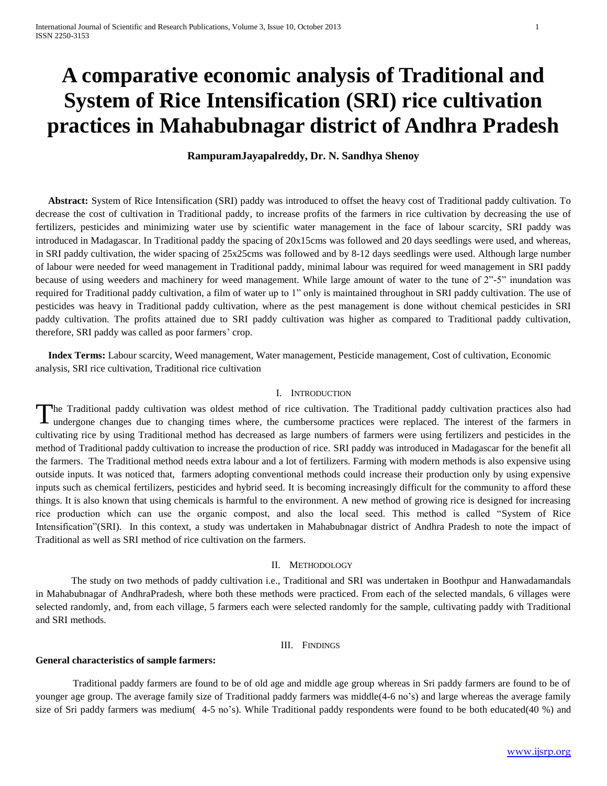# **A comparative economic analysis of Traditional and System of Rice Intensification (SRI) rice cultivation practices in Mahabubnagar district of Andhra Pradesh**

# **RampuramJayapalreddy, Dr. N. Sandhya Shenoy**

 **Abstract:** System of Rice Intensification (SRI) paddy was introduced to offset the heavy cost of Traditional paddy cultivation. To decrease the cost of cultivation in Traditional paddy, to increase profits of the farmers in rice cultivation by decreasing the use of fertilizers, pesticides and minimizing water use by scientific water management in the face of labour scarcity, SRI paddy was introduced in Madagascar. In Traditional paddy the spacing of 20x15cms was followed and 20 days seedlings were used, and whereas, in SRI paddy cultivation, the wider spacing of 25x25cms was followed and by 8-12 days seedlings were used. Although large number of labour were needed for weed management in Traditional paddy, minimal labour was required for weed management in SRI paddy because of using weeders and machinery for weed management. While large amount of water to the tune of 2"-5" inundation was required for Traditional paddy cultivation, a film of water up to 1" only is maintained throughout in SRI paddy cultivation. The use of pesticides was heavy in Traditional paddy cultivation, where as the pest management is done without chemical pesticides in SRI paddy cultivation. The profits attained due to SRI paddy cultivation was higher as compared to Traditional paddy cultivation, therefore, SRI paddy was called as poor farmers' crop.

 **Index Terms:** Labour scarcity, Weed management, Water management, Pesticide management, Cost of cultivation, Economic analysis, SRI rice cultivation, Traditional rice cultivation

## I. INTRODUCTION

he Traditional paddy cultivation was oldest method of rice cultivation. The Traditional paddy cultivation practices also had The Traditional paddy cultivation was oldest method of rice cultivation. The Traditional paddy cultivation practices also had undergone changes due to changing times where, the cumbersome practices were replaced. The inter cultivating rice by using Traditional method has decreased as large numbers of farmers were using fertilizers and pesticides in the method of Traditional paddy cultivation to increase the production of rice. SRI paddy was introduced in Madagascar for the benefit all the farmers. The Traditional method needs extra labour and a lot of fertilizers. Farming with modern methods is also expensive using outside inputs. It was noticed that, farmers adopting conventional methods could increase their production only by using expensive inputs such as chemical fertilizers, pesticides and hybrid seed. It is becoming increasingly difficult for the community to afford these things. It is also known that using chemicals is harmful to the environment. A new method of growing rice is designed for increasing rice production which can use the organic compost, and also the local seed. This method is called "System of Rice Intensification"(SRI). In this context, a study was undertaken in Mahabubnagar district of Andhra Pradesh to note the impact of Traditional as well as SRI method of rice cultivation on the farmers.

## II. METHODOLOGY

The study on two methods of paddy cultivation i.e., Traditional and SRI was undertaken in Boothpur and Hanwadamandals in Mahabubnagar of AndhraPradesh, where both these methods were practiced. From each of the selected mandals, 6 villages were selected randomly, and, from each village, 5 farmers each were selected randomly for the sample, cultivating paddy with Traditional and SRI methods.

#### III. FINDINGS

#### **General characteristics of sample farmers:**

 Traditional paddy farmers are found to be of old age and middle age group whereas in Sri paddy farmers are found to be of younger age group. The average family size of Traditional paddy farmers was middle(4-6 no's) and large whereas the average family size of Sri paddy farmers was medium( 4-5 no's). While Traditional paddy respondents were found to be both educated(40 %) and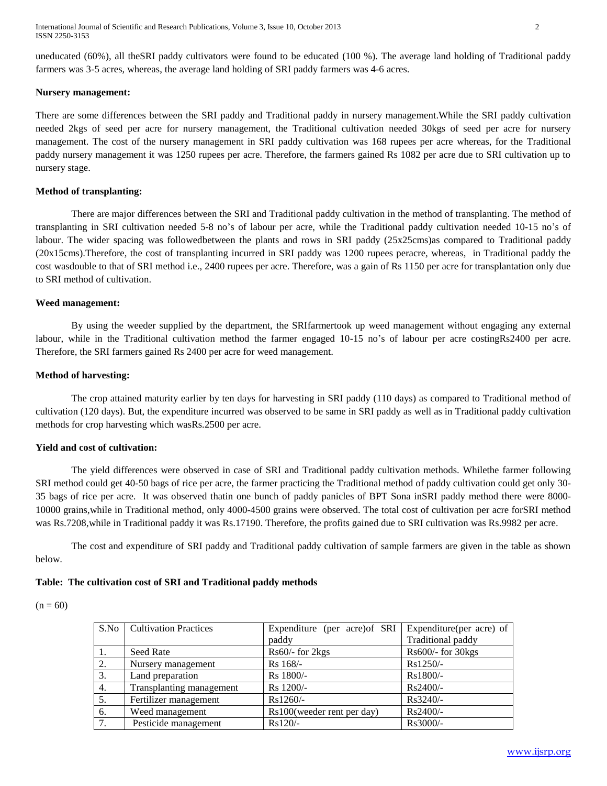International Journal of Scientific and Research Publications, Volume 3, Issue 10, October 2013 2 ISSN 2250-3153

uneducated (60%), all theSRI paddy cultivators were found to be educated (100 %). The average land holding of Traditional paddy farmers was 3-5 acres, whereas, the average land holding of SRI paddy farmers was 4-6 acres.

#### **Nursery management:**

There are some differences between the SRI paddy and Traditional paddy in nursery management.While the SRI paddy cultivation needed 2kgs of seed per acre for nursery management, the Traditional cultivation needed 30kgs of seed per acre for nursery management. The cost of the nursery management in SRI paddy cultivation was 168 rupees per acre whereas, for the Traditional paddy nursery management it was 1250 rupees per acre. Therefore, the farmers gained Rs 1082 per acre due to SRI cultivation up to nursery stage.

#### **Method of transplanting:**

There are major differences between the SRI and Traditional paddy cultivation in the method of transplanting. The method of transplanting in SRI cultivation needed 5-8 no's of labour per acre, while the Traditional paddy cultivation needed 10-15 no's of labour. The wider spacing was followedbetween the plants and rows in SRI paddy (25x25cms)as compared to Traditional paddy (20x15cms).Therefore, the cost of transplanting incurred in SRI paddy was 1200 rupees peracre, whereas, in Traditional paddy the cost wasdouble to that of SRI method i.e., 2400 rupees per acre. Therefore, was a gain of Rs 1150 per acre for transplantation only due to SRI method of cultivation.

#### **Weed management:**

By using the weeder supplied by the department, the SRIfarmertook up weed management without engaging any external labour, while in the Traditional cultivation method the farmer engaged 10-15 no's of labour per acre costingRs2400 per acre. Therefore, the SRI farmers gained Rs 2400 per acre for weed management.

#### **Method of harvesting:**

The crop attained maturity earlier by ten days for harvesting in SRI paddy (110 days) as compared to Traditional method of cultivation (120 days). But, the expenditure incurred was observed to be same in SRI paddy as well as in Traditional paddy cultivation methods for crop harvesting which wasRs.2500 per acre.

## **Yield and cost of cultivation:**

The yield differences were observed in case of SRI and Traditional paddy cultivation methods. Whilethe farmer following SRI method could get 40-50 bags of rice per acre, the farmer practicing the Traditional method of paddy cultivation could get only 30- 35 bags of rice per acre. It was observed thatin one bunch of paddy panicles of BPT Sona inSRI paddy method there were 8000- 10000 grains,while in Traditional method, only 4000-4500 grains were observed. The total cost of cultivation per acre forSRI method was Rs.7208,while in Traditional paddy it was Rs.17190. Therefore, the profits gained due to SRI cultivation was Rs.9982 per acre.

The cost and expenditure of SRI paddy and Traditional paddy cultivation of sample farmers are given in the table as shown below.

## **Table: The cultivation cost of SRI and Traditional paddy methods**

|--|--|--|

| S.No | <b>Cultivation Practices</b> | Expenditure (per acre) of SRI | Expenditure (per acre) of |
|------|------------------------------|-------------------------------|---------------------------|
|      |                              | paddy                         | Traditional paddy         |
|      | <b>Seed Rate</b>             | $Rs60$ - for 2 $kgs$          | $Rs600/$ - for 30 $kgs$   |
| 2.   | Nursery management           | $Rs$ 168/-                    | Rs1250/-                  |
| 3.   | Land preparation             | Rs 1800/-                     | Rs1800/-                  |
| 4.   | Transplanting management     | Rs 1200/-                     | Rs2400/-                  |
| 5.   | Fertilizer management        | Rs1260/-                      | $Rs3240/-$                |
| 6.   | Weed management              | Rs100(weeder rent per day)    | Rs2400/-                  |
| 7.   | Pesticide management         | $Rs120/-$                     | Rs3000/-                  |